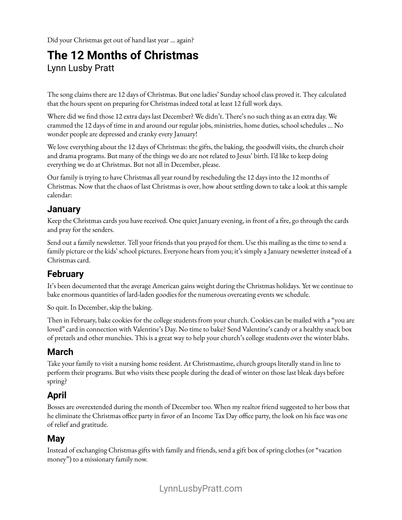Did your Christmas get out of hand last year … again?

# **The 12 Months of Christmas** Lynn Lusby Pratt

The song claims there are 12 days of Christmas. But one ladies' Sunday school class proved it. They calculated that the hours spent on preparing for Christmas indeed total at least 12 full work days.

Where did we find those 12 extra days last December? We didn't. There's no such thing as an extra day. We crammed the 12 days of time in and around our regular jobs, ministries, home duties, school schedules … No wonder people are depressed and cranky every January!

We love everything about the 12 days of Christmas: the gifts, the baking, the goodwill visits, the church choir and drama programs. But many of the things we do are not related to Jesus' birth. I'd like to keep doing everything we do at Christmas. But not all in December, please.

Our family is trying to have Christmas all year round by rescheduling the 12 days into the 12 months of Christmas. Now that the chaos of last Christmas is over, how about settling down to take a look at this sample calendar:

#### **January**

Keep the Christmas cards you have received. One quiet January evening, in front of a fire, go through the cards and pray for the senders.

Send out a family newsletter. Tell your friends that you prayed for them. Use this mailing as the time to send a family picture or the kids' school pictures. Everyone hears from you; it's simply a January newsletter instead of a Christmas card.

# **February**

It's been documented that the average American gains weight during the Christmas holidays. Yet we continue to bake enormous quantities of lard-laden goodies for the numerous overeating events we schedule.

So quit. In December, skip the baking.

Then in February, bake cookies for the college students from your church. Cookies can be mailed with a "you are loved" card in connection with Valentine's Day. No time to bake? Send Valentine's candy or a healthy snack box of pretzels and other munchies. This is a great way to help your church's college students over the winter blahs.

#### **March**

Take your family to visit a nursing home resident. At Christmastime, church groups literally stand in line to perform their programs. But who visits these people during the dead of winter on those last bleak days before spring?

## **April**

Bosses are overextended during the month of December too. When my realtor friend suggested to her boss that he eliminate the Christmas office party in favor of an Income Tax Day office party, the look on his face was one of relief and gratitude.

#### **May**

Instead of exchanging Christmas gifts with family and friends, send a gift box of spring clothes (or "vacation money") to a missionary family now.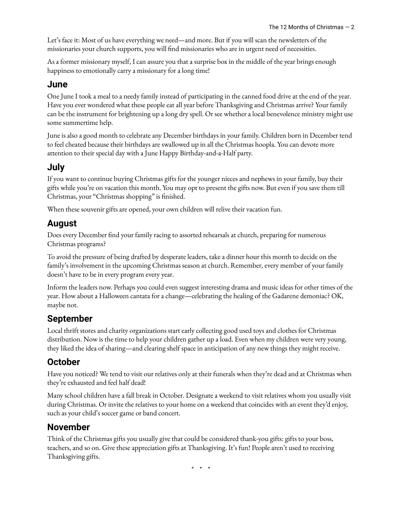Let's face it: Most of us have everything we need—and more. But if you will scan the newsletters of the missionaries your church supports, you will find missionaries who are in urgent need of necessities.

As a former missionary myself, I can assure you that a surprise box in the middle of the year brings enough happiness to emotionally carry a missionary for a long time!

#### **June**

One June I took a meal to a needy family instead of participating in the canned food drive at the end of the year. Have you ever wondered what these people eat all year before Thanksgiving and Christmas arrive? Your family can be the instrument for brightening up a long dry spell. Or see whether a local benevolence ministry might use some summertime help.

June is also a good month to celebrate any December birthdays in your family. Children born in December tend to feel cheated because their birthdays are swallowed up in all the Christmas hoopla. You can devote more attention to their special day with a June Happy Birthday-and-a-Half party.

#### **July**

If you want to continue buying Christmas gifts for the younger nieces and nephews in your family, buy their gifts while you're on vacation this month. You may opt to present the gifts now. But even if you save them till Christmas, your "Christmas shopping" is finished.

When these souvenir gifts are opened, your own children will relive their vacation fun.

## **August**

Does every December find your family racing to assorted rehearsals at church, preparing for numerous Christmas programs?

To avoid the pressure of being drafted by desperate leaders, take a dinner hour this month to decide on the family's involvement in the upcoming Christmas season at church. Remember, every member of your family doesn't have to be in every program every year.

Inform the leaders now. Perhaps you could even suggest interesting drama and music ideas for other times of the year. How about a Halloween cantata for a change—celebrating the healing of the Gadarene demoniac? OK, maybe not.

# **September**

Local thrift stores and charity organizations start early collecting good used toys and clothes for Christmas distribution. Now is the time to help your children gather up a load. Even when my children were very young, they liked the idea of sharing—and clearing shelf space in anticipation of any new things they might receive.

# **October**

Have you noticed? We tend to visit our relatives only at their funerals when they're dead and at Christmas when they're exhausted and feel half dead!

Many school children have a fall break in October. Designate a weekend to visit relatives whom you usually visit during Christmas. Or invite the relatives to your home on a weekend that coincides with an event they'd enjoy, such as your child's soccer game or band concert.

# **November**

Think of the Christmas gifts you usually give that could be considered thank-you gifts: gifts to your boss, teachers, and so on. Give these appreciation gifts at Thanksgiving. It's fun! People aren't used to receiving Thanksgiving gifts.

\* \* \*